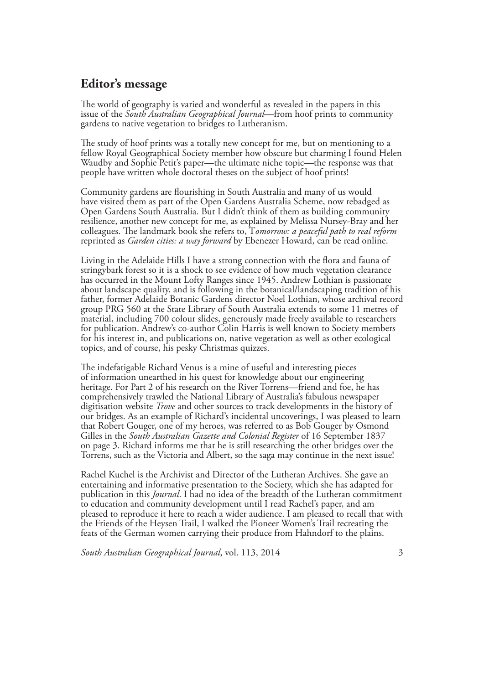## **Editor's message**

The world of geography is varied and wonderful as revealed in the papers in this issue of the *South Australian Geographical Journal*—from hoof prints to community gardens to native vegetation to bridges to Lutheranism.

The study of hoof prints was a totally new concept for me, but on mentioning to a fellow Royal Geographical Society member how obscure but charming I found Helen Waudby and Sophie Petit's paper—the ultimate niche topic—the response was that people have written whole doctoral theses on the subject of hoof prints!

Community gardens are flourishing in South Australia and many of us would have visited them as part of the Open Gardens Australia Scheme, now rebadged as Open Gardens South Australia. But I didn't think of them as building community resilience, another new concept for me, as explained by Melissa Nursey-Bray and her colleagues. The landmark book she refers to, T*omorrow: a peaceful path to real reform*  reprinted as *Garden cities: a way forward* by Ebenezer Howard, can be read online.

Living in the Adelaide Hills I have a strong connection with the flora and fauna of stringybark forest so it is a shock to see evidence of how much vegetation clearance has occurred in the Mount Lofty Ranges since 1945. Andrew Lothian is passionate about landscape quality, and is following in the botanical/landscaping tradition of his father, former Adelaide Botanic Gardens director Noel Lothian, whose archival record group PRG 560 at the State Library of South Australia extends to some 11 metres of material, including 700 colour slides, generously made freely available to researchers for publication. Andrew's co-author Colin Harris is well known to Society members for his interest in, and publications on, native vegetation as well as other ecological topics, and of course, his pesky Christmas quizzes.

The indefatigable Richard Venus is a mine of useful and interesting pieces of information unearthed in his quest for knowledge about our engineering heritage. For Part 2 of his research on the River Torrens—friend and foe, he has comprehensively trawled the National Library of Australia's fabulous newspaper digitisation website *Trove* and other sources to track developments in the history of our bridges. As an example of Richard's incidental uncoverings, I was pleased to learn that Robert Gouger, one of my heroes, was referred to as Bob Gouger by Osmond Gilles in the *South Australian Gazette and Colonial Register* of 16 September 1837 on page 3. Richard informs me that he is still researching the other bridges over the Torrens, such as the Victoria and Albert, so the saga may continue in the next issue!

Rachel Kuchel is the Archivist and Director of the Lutheran Archives. She gave an entertaining and informative presentation to the Society, which she has adapted for publication in this *Journal*. I had no idea of the breadth of the Lutheran commitment to education and community development until I read Rachel's paper, and am pleased to reproduce it here to reach a wider audience. I am pleased to recall that with the Friends of the Heysen Trail, I walked the Pioneer Women's Trail recreating the feats of the German women carrying their produce from Hahndorf to the plains.

*South Australian Geographical Journal*, vol. 113, 2014 3